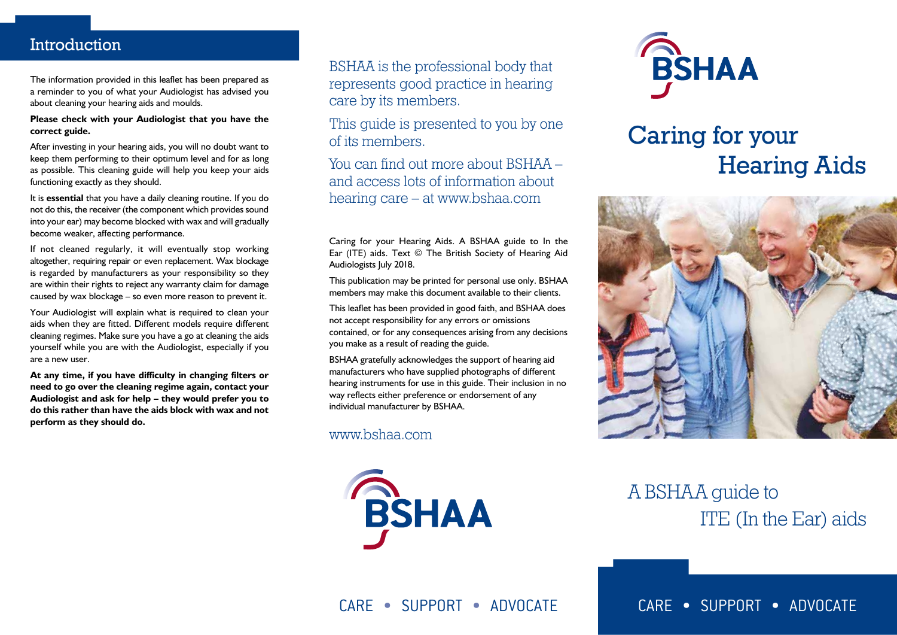### **Introduction**

The information provided in this leaflet has been prepared as a reminder to you of what your Audiologist has advised you about cleaning your hearing aids and moulds.

#### **Please check with your Audiologist that you have the correct guide.**

After investing in your hearing aids, you will no doubt want to keep them performing to their optimum level and for as long as possible. This cleaning guide will help you keep your aids functioning exactly as they should.

It is **essential** that you have a daily cleaning routine. If you do not do this, the receiver (the component which provides sound into your ear) may become blocked with wax and will gradually become weaker, affecting performance.

If not cleaned regularly, it will eventually stop working altogether, requiring repair or even replacement. Wax blockage is regarded by manufacturers as your responsibility so they are within their rights to reject any warranty claim for damage caused by wax blockage – so even more reason to prevent it.

Your Audiologist will explain what is required to clean your aids when they are fitted. Different models require different cleaning regimes. Make sure you have a go at cleaning the aids yourself while you are with the Audiologist, especially if you are a new user.

**At any time, if you have difficulty in changing filters or need to go over the cleaning regime again, contact your Audiologist and ask for help – they would prefer you to do this rather than have the aids block with wax and not perform as they should do.**

BSHAA is the professional body that represents good practice in hearing care by its members.

This quide is presented to you by one of its members.

You can find out more about BSHAA – and access lots of information about hearing care – at www.bshaa.com

Caring for your Hearing Aids. A BSHAA guide to In the Ear (ITE) aids. Text © The British Society of Hearing Aid Audiologists July 2018.

This publication may be printed for personal use only. BSHAA members may make this document available to their clients.

This leaflet has been provided in good faith, and BSHAA does not accept responsibility for any errors or omissions contained, or for any consequences arising from any decisions you make as a result of reading the guide.

BSHAA gratefully acknowledges the support of hearing aid manufacturers who have supplied photographs of different hearing instruments for use in this guide. Their inclusion in no way reflects either preference or endorsement of any individual manufacturer by BSHAA.

www.bshaa.com





# Caring for your Hearing Aids



## A BSHAA guide to ITE (In the Ear) aids

CARE • SUPPORT • ADVOCATE

CARE • SUPPORT • ADVOCATE